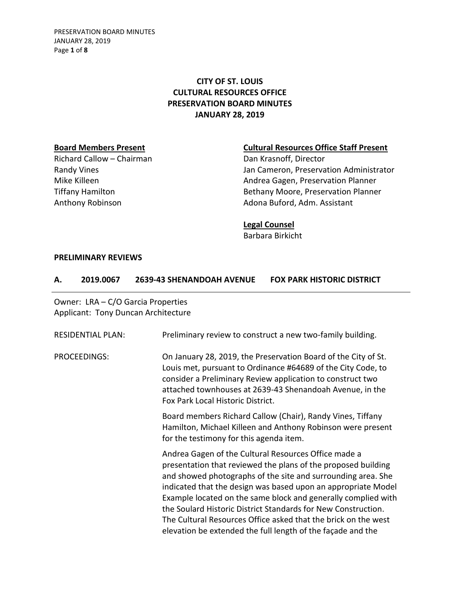PRESERVATION BOARD MINUTES JANUARY 28, 2019 Page **1** of **8**

## **CITY OF ST. LOUIS CULTURAL RESOURCES OFFICE PRESERVATION BOARD MINUTES JANUARY 28, 2019**

Richard Callow – Chairman Dan Krasnoff, Director

#### **Board Members Present Cultural Resources Office Staff Present**

Randy Vines **National Community Community** Jan Cameron, Preservation Administrator Mike Killeen **Andrea Gagen, Preservation Planner** Andrea Gagen, Preservation Planner Tiffany Hamilton **Bethany Moore, Preservation Planner** Anthony Robinson **Adona Buford, Adm. Assistant** 

#### **Legal Counsel**

Barbara Birkicht

### **PRELIMINARY REVIEWS**

#### **A. 2019.0067 2639-43 SHENANDOAH AVENUE FOX PARK HISTORIC DISTRICT**

| Owner: LRA - C/O Garcia Properties<br>Applicant: Tony Duncan Architecture |                                                                                                                                                                                                                                                                                                                                                                                                                                                                                                                           |
|---------------------------------------------------------------------------|---------------------------------------------------------------------------------------------------------------------------------------------------------------------------------------------------------------------------------------------------------------------------------------------------------------------------------------------------------------------------------------------------------------------------------------------------------------------------------------------------------------------------|
| <b>RESIDENTIAL PLAN:</b>                                                  | Preliminary review to construct a new two-family building.                                                                                                                                                                                                                                                                                                                                                                                                                                                                |
| PROCEEDINGS:                                                              | On January 28, 2019, the Preservation Board of the City of St.<br>Louis met, pursuant to Ordinance #64689 of the City Code, to<br>consider a Preliminary Review application to construct two<br>attached townhouses at 2639-43 Shenandoah Avenue, in the<br>Fox Park Local Historic District.                                                                                                                                                                                                                             |
|                                                                           | Board members Richard Callow (Chair), Randy Vines, Tiffany<br>Hamilton, Michael Killeen and Anthony Robinson were present<br>for the testimony for this agenda item.                                                                                                                                                                                                                                                                                                                                                      |
|                                                                           | Andrea Gagen of the Cultural Resources Office made a<br>presentation that reviewed the plans of the proposed building<br>and showed photographs of the site and surrounding area. She<br>indicated that the design was based upon an appropriate Model<br>Example located on the same block and generally complied with<br>the Soulard Historic District Standards for New Construction.<br>The Cultural Resources Office asked that the brick on the west<br>elevation be extended the full length of the façade and the |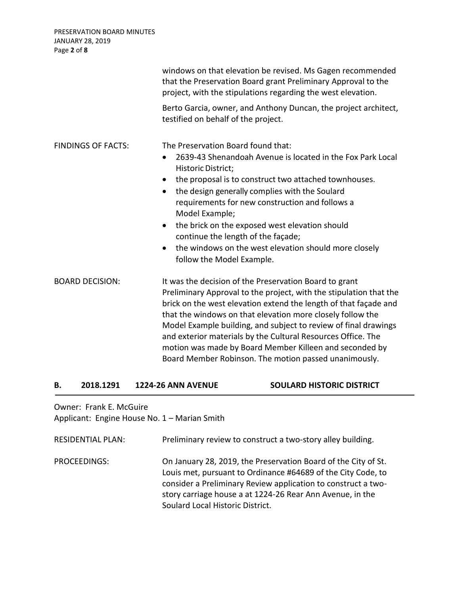| PRESERVATION BOARD MINUTES<br>JANUARY 28, 2019<br>Page 2 of 8 |                                                                                                                                                                                                                                                                                                                                                                                                                                                                                                                       |
|---------------------------------------------------------------|-----------------------------------------------------------------------------------------------------------------------------------------------------------------------------------------------------------------------------------------------------------------------------------------------------------------------------------------------------------------------------------------------------------------------------------------------------------------------------------------------------------------------|
|                                                               | windows on that elevation be revised. Ms Gagen recommended<br>that the Preservation Board grant Preliminary Approval to the<br>project, with the stipulations regarding the west elevation.                                                                                                                                                                                                                                                                                                                           |
|                                                               | Berto Garcia, owner, and Anthony Duncan, the project architect,<br>testified on behalf of the project.                                                                                                                                                                                                                                                                                                                                                                                                                |
| <b>FINDINGS OF FACTS:</b>                                     | The Preservation Board found that:<br>2639-43 Shenandoah Avenue is located in the Fox Park Local<br>Historic District;<br>the proposal is to construct two attached townhouses.<br>the design generally complies with the Soulard<br>$\bullet$<br>requirements for new construction and follows a<br>Model Example;<br>the brick on the exposed west elevation should<br>$\bullet$<br>continue the length of the façade;<br>the windows on the west elevation should more closely<br>follow the Model Example.        |
| <b>BOARD DECISION:</b>                                        | It was the decision of the Preservation Board to grant<br>Preliminary Approval to the project, with the stipulation that the<br>brick on the west elevation extend the length of that façade and<br>that the windows on that elevation more closely follow the<br>Model Example building, and subject to review of final drawings<br>and exterior materials by the Cultural Resources Office. The<br>motion was made by Board Member Killeen and seconded by<br>Board Member Robinson. The motion passed unanimously. |

#### **B. 2018.1291 1224-26 ANN AVENUE SOULARD HISTORIC DISTRICT**

Owner: Frank E. McGuire Applicant: Engine House No. 1 – Marian Smith

| <b>RESIDENTIAL PLAN:</b> | Preliminary review to construct a two-story alley building.                                                                                                                                                                                                                                      |
|--------------------------|--------------------------------------------------------------------------------------------------------------------------------------------------------------------------------------------------------------------------------------------------------------------------------------------------|
| PROCEEDINGS:             | On January 28, 2019, the Preservation Board of the City of St.<br>Louis met, pursuant to Ordinance #64689 of the City Code, to<br>consider a Preliminary Review application to construct a two-<br>story carriage house a at 1224-26 Rear Ann Avenue, in the<br>Soulard Local Historic District. |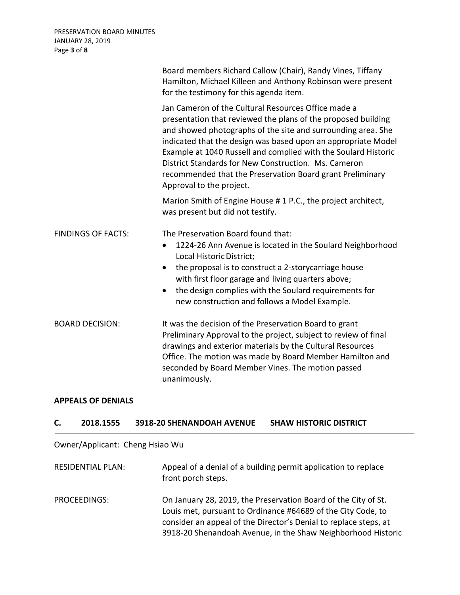|                           | Board members Richard Callow (Chair), Randy Vines, Tiffany<br>Hamilton, Michael Killeen and Anthony Robinson were present<br>for the testimony for this agenda item.                                                                                                                                                                                                                                                                                                     |
|---------------------------|--------------------------------------------------------------------------------------------------------------------------------------------------------------------------------------------------------------------------------------------------------------------------------------------------------------------------------------------------------------------------------------------------------------------------------------------------------------------------|
|                           | Jan Cameron of the Cultural Resources Office made a<br>presentation that reviewed the plans of the proposed building<br>and showed photographs of the site and surrounding area. She<br>indicated that the design was based upon an appropriate Model<br>Example at 1040 Russell and complied with the Soulard Historic<br>District Standards for New Construction. Ms. Cameron<br>recommended that the Preservation Board grant Preliminary<br>Approval to the project. |
|                           | Marion Smith of Engine House # 1 P.C., the project architect,<br>was present but did not testify.                                                                                                                                                                                                                                                                                                                                                                        |
| <b>FINDINGS OF FACTS:</b> | The Preservation Board found that:<br>1224-26 Ann Avenue is located in the Soulard Neighborhood<br>$\bullet$<br>Local Historic District;<br>the proposal is to construct a 2-storycarriage house<br>with first floor garage and living quarters above;<br>the design complies with the Soulard requirements for<br>$\bullet$<br>new construction and follows a Model Example.                                                                                            |
| <b>BOARD DECISION:</b>    | It was the decision of the Preservation Board to grant<br>Preliminary Approval to the project, subject to review of final<br>drawings and exterior materials by the Cultural Resources<br>Office. The motion was made by Board Member Hamilton and<br>seconded by Board Member Vines. The motion passed<br>unanimously.                                                                                                                                                  |

# **APPEALS OF DENIALS**

## **C. 2018.1555 3918-20 SHENANDOAH AVENUE SHAW HISTORIC DISTRICT**

Owner/Applicant: Cheng Hsiao Wu

| <b>RESIDENTIAL PLAN:</b> | Appeal of a denial of a building permit application to replace<br>front porch steps.                                                                                                                                                                               |
|--------------------------|--------------------------------------------------------------------------------------------------------------------------------------------------------------------------------------------------------------------------------------------------------------------|
| PROCEEDINGS:             | On January 28, 2019, the Preservation Board of the City of St.<br>Louis met, pursuant to Ordinance #64689 of the City Code, to<br>consider an appeal of the Director's Denial to replace steps, at<br>3918-20 Shenandoah Avenue, in the Shaw Neighborhood Historic |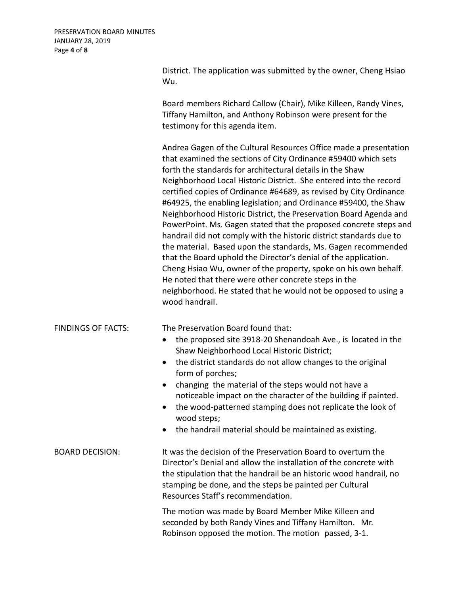District. The application was submitted by the owner, Cheng Hsiao Wu.

Board members Richard Callow (Chair), Mike Killeen, Randy Vines, Tiffany Hamilton, and Anthony Robinson were present for the testimony for this agenda item.

Andrea Gagen of the Cultural Resources Office made a presentation that examined the sections of City Ordinance #59400 which sets forth the standards for architectural details in the Shaw Neighborhood Local Historic District. She entered into the record certified copies of Ordinance #64689, as revised by City Ordinance #64925, the enabling legislation; and Ordinance #59400, the Shaw Neighborhood Historic District, the Preservation Board Agenda and PowerPoint. Ms. Gagen stated that the proposed concrete steps and handrail did not comply with the historic district standards due to the material. Based upon the standards, Ms. Gagen recommended that the Board uphold the Director's denial of the application. Cheng Hsiao Wu, owner of the property, spoke on his own behalf. He noted that there were other concrete steps in the neighborhood. He stated that he would not be opposed to using a wood handrail.

FINDINGS OF FACTS: The Preservation Board found that:

- the proposed site 3918-20 Shenandoah Ave., is located in the Shaw Neighborhood Local Historic District;
- the district standards do not allow changes to the original form of porches;
- changing the material of the steps would not have a noticeable impact on the character of the building if painted.
- the wood-patterned stamping does not replicate the look of wood steps;
- the handrail material should be maintained as existing.

BOARD DECISION: It was the decision of the Preservation Board to overturn the Director's Denial and allow the installation of the concrete with the stipulation that the handrail be an historic wood handrail, no stamping be done, and the steps be painted per Cultural Resources Staff's recommendation.

> The motion was made by Board Member Mike Killeen and seconded by both Randy Vines and Tiffany Hamilton. Mr. Robinson opposed the motion. The motion passed, 3-1.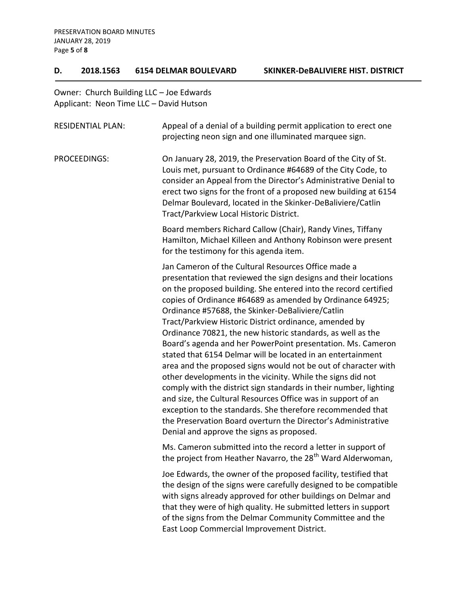#### **D. 2018.1563 6154 DELMAR BOULEVARD SKINKER-DeBALIVIERE HIST. DISTRICT**

Owner: Church Building LLC – Joe Edwards Applicant: Neon Time LLC – David Hutson

| <b>RESIDENTIAL PLAN:</b> | Appeal of a denial of a building permit application to erect one<br>projecting neon sign and one illuminated marquee sign.                                                                                                                                                                                                                                                                                                                                                                                                                                                                                                                                                                                                                                                                                                                                                                                                                                                                                          |
|--------------------------|---------------------------------------------------------------------------------------------------------------------------------------------------------------------------------------------------------------------------------------------------------------------------------------------------------------------------------------------------------------------------------------------------------------------------------------------------------------------------------------------------------------------------------------------------------------------------------------------------------------------------------------------------------------------------------------------------------------------------------------------------------------------------------------------------------------------------------------------------------------------------------------------------------------------------------------------------------------------------------------------------------------------|
| <b>PROCEEDINGS:</b>      | On January 28, 2019, the Preservation Board of the City of St.<br>Louis met, pursuant to Ordinance #64689 of the City Code, to<br>consider an Appeal from the Director's Administrative Denial to<br>erect two signs for the front of a proposed new building at 6154<br>Delmar Boulevard, located in the Skinker-DeBaliviere/Catlin<br>Tract/Parkview Local Historic District.                                                                                                                                                                                                                                                                                                                                                                                                                                                                                                                                                                                                                                     |
|                          | Board members Richard Callow (Chair), Randy Vines, Tiffany<br>Hamilton, Michael Killeen and Anthony Robinson were present<br>for the testimony for this agenda item.                                                                                                                                                                                                                                                                                                                                                                                                                                                                                                                                                                                                                                                                                                                                                                                                                                                |
|                          | Jan Cameron of the Cultural Resources Office made a<br>presentation that reviewed the sign designs and their locations<br>on the proposed building. She entered into the record certified<br>copies of Ordinance #64689 as amended by Ordinance 64925;<br>Ordinance #57688, the Skinker-DeBaliviere/Catlin<br>Tract/Parkview Historic District ordinance, amended by<br>Ordinance 70821, the new historic standards, as well as the<br>Board's agenda and her PowerPoint presentation. Ms. Cameron<br>stated that 6154 Delmar will be located in an entertainment<br>area and the proposed signs would not be out of character with<br>other developments in the vicinity. While the signs did not<br>comply with the district sign standards in their number, lighting<br>and size, the Cultural Resources Office was in support of an<br>exception to the standards. She therefore recommended that<br>the Preservation Board overturn the Director's Administrative<br>Denial and approve the signs as proposed. |
|                          | Ms. Cameron submitted into the record a letter in support of<br>the project from Heather Navarro, the 28 <sup>th</sup> Ward Alderwoman,                                                                                                                                                                                                                                                                                                                                                                                                                                                                                                                                                                                                                                                                                                                                                                                                                                                                             |
|                          | Joe Edwards, the owner of the proposed facility, testified that<br>the design of the signs were carefully designed to be compatible<br>with signs already approved for other buildings on Delmar and<br>that they were of high quality. He submitted letters in support<br>of the signs from the Delmar Community Committee and the<br>East Loop Commercial Improvement District.                                                                                                                                                                                                                                                                                                                                                                                                                                                                                                                                                                                                                                   |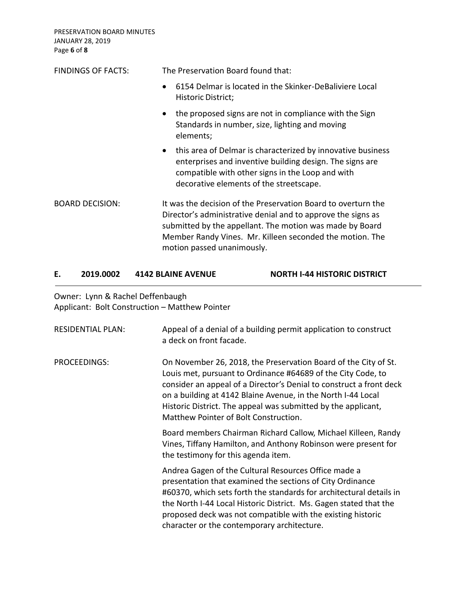PRESERVATION BOARD MINUTES JANUARY 28, 2019 Page **6** of **8**

| <b>FINDINGS OF FACTS:</b> | The Preservation Board found that:                                                                                                                                                                                                                                                  |
|---------------------------|-------------------------------------------------------------------------------------------------------------------------------------------------------------------------------------------------------------------------------------------------------------------------------------|
|                           | 6154 Delmar is located in the Skinker-DeBaliviere Local<br>$\bullet$<br>Historic District;                                                                                                                                                                                          |
|                           | the proposed signs are not in compliance with the Sign<br>$\bullet$<br>Standards in number, size, lighting and moving<br>elements;                                                                                                                                                  |
|                           | this area of Delmar is characterized by innovative business<br>$\bullet$<br>enterprises and inventive building design. The signs are<br>compatible with other signs in the Loop and with<br>decorative elements of the streetscape.                                                 |
| <b>BOARD DECISION:</b>    | It was the decision of the Preservation Board to overturn the<br>Director's administrative denial and to approve the signs as<br>submitted by the appellant. The motion was made by Board<br>Member Randy Vines. Mr. Killeen seconded the motion. The<br>motion passed unanimously. |

### **E. 2019.0002 4142 BLAINE AVENUE NORTH I-44 HISTORIC DISTRICT**

Owner: Lynn & Rachel Deffenbaugh Applicant: Bolt Construction – Matthew Pointer

| <b>RESIDENTIAL PLAN:</b> | Appeal of a denial of a building permit application to construct<br>a deck on front facade.                                                                                                                                                                                                                                                                                      |
|--------------------------|----------------------------------------------------------------------------------------------------------------------------------------------------------------------------------------------------------------------------------------------------------------------------------------------------------------------------------------------------------------------------------|
| PROCEEDINGS:             | On November 26, 2018, the Preservation Board of the City of St.<br>Louis met, pursuant to Ordinance #64689 of the City Code, to<br>consider an appeal of a Director's Denial to construct a front deck<br>on a building at 4142 Blaine Avenue, in the North I-44 Local<br>Historic District. The appeal was submitted by the applicant,<br>Matthew Pointer of Bolt Construction. |
|                          | Board members Chairman Richard Callow, Michael Killeen, Randy<br>Vines, Tiffany Hamilton, and Anthony Robinson were present for<br>the testimony for this agenda item.                                                                                                                                                                                                           |
|                          | Andrea Gagen of the Cultural Resources Office made a<br>presentation that examined the sections of City Ordinance<br>#60370, which sets forth the standards for architectural details in<br>the North I-44 Local Historic District. Ms. Gagen stated that the<br>proposed deck was not compatible with the existing historic<br>character or the contemporary architecture.      |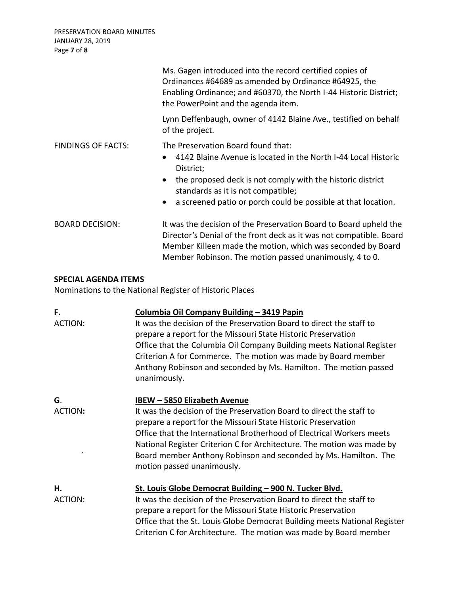| PRESERVATION BOARD MINUTES<br><b>JANUARY 28, 2019</b><br>Page 7 of 8 |                                                                                                                                                                                                                                                                                                                  |
|----------------------------------------------------------------------|------------------------------------------------------------------------------------------------------------------------------------------------------------------------------------------------------------------------------------------------------------------------------------------------------------------|
|                                                                      | Ms. Gagen introduced into the record certified copies of<br>Ordinances #64689 as amended by Ordinance #64925, the<br>Enabling Ordinance; and #60370, the North I-44 Historic District;<br>the PowerPoint and the agenda item.                                                                                    |
|                                                                      | Lynn Deffenbaugh, owner of 4142 Blaine Ave., testified on behalf<br>of the project.                                                                                                                                                                                                                              |
| <b>FINDINGS OF FACTS:</b>                                            | The Preservation Board found that:<br>4142 Blaine Avenue is located in the North I-44 Local Historic<br>$\bullet$<br>District;<br>the proposed deck is not comply with the historic district<br>standards as it is not compatible;<br>a screened patio or porch could be possible at that location.<br>$\bullet$ |
| <b>BOARD DECISION:</b>                                               | It was the decision of the Preservation Board to Board upheld the<br>Director's Denial of the front deck as it was not compatible. Board<br>Member Killeen made the motion, which was seconded by Board<br>Member Robinson. The motion passed unanimously, 4 to 0.                                               |

## **SPECIAL AGENDA ITEMS**

Nominations to the National Register of Historic Places

| F.                    | Columbia Oil Company Building - 3419 Papin                                                    |
|-----------------------|-----------------------------------------------------------------------------------------------|
| <b>ACTION:</b>        | It was the decision of the Preservation Board to direct the staff to                          |
|                       | prepare a report for the Missouri State Historic Preservation                                 |
|                       | Office that the Columbia Oil Company Building meets National Register                         |
|                       | Criterion A for Commerce. The motion was made by Board member                                 |
|                       | Anthony Robinson and seconded by Ms. Hamilton. The motion passed<br>unanimously.              |
| G.                    | <b>IBEW - 5850 Elizabeth Avenue</b>                                                           |
| <b>ACTION:</b>        | It was the decision of the Preservation Board to direct the staff to                          |
|                       | prepare a report for the Missouri State Historic Preservation                                 |
|                       | Office that the International Brotherhood of Electrical Workers meets                         |
|                       | National Register Criterion C for Architecture. The motion was made by                        |
| $\tilde{\phantom{a}}$ | Board member Anthony Robinson and seconded by Ms. Hamilton. The<br>motion passed unanimously. |
| Η.                    | St. Louis Globe Democrat Building - 900 N. Tucker Blvd.                                       |
| <b>ACTION:</b>        | It was the decision of the Preservation Board to direct the staff to                          |
|                       | prepare a report for the Missouri State Historic Preservation                                 |
|                       | Office that the St. Louis Globe Democrat Building meets National Register                     |
|                       | Criterion C for Architecture. The motion was made by Board member                             |